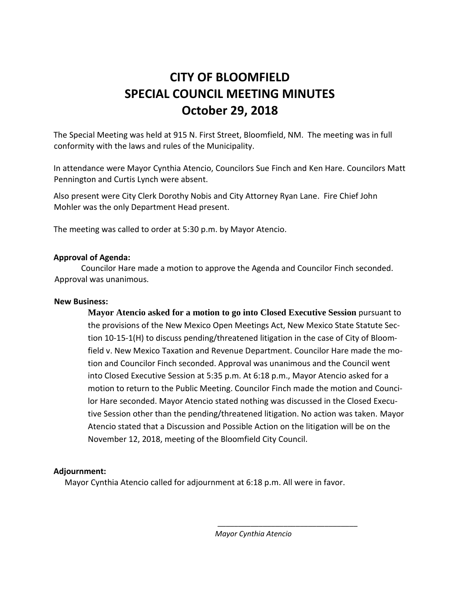## **CITY OF BLOOMFIELD SPECIAL COUNCIL MEETING MINUTES October 29, 2018**

The Special Meeting was held at 915 N. First Street, Bloomfield, NM. The meeting was in full conformity with the laws and rules of the Municipality.

In attendance were Mayor Cynthia Atencio, Councilors Sue Finch and Ken Hare. Councilors Matt Pennington and Curtis Lynch were absent.

Also present were City Clerk Dorothy Nobis and City Attorney Ryan Lane. Fire Chief John Mohler was the only Department Head present.

The meeting was called to order at 5:30 p.m. by Mayor Atencio.

## **Approval of Agenda:**

Councilor Hare made a motion to approve the Agenda and Councilor Finch seconded. Approval was unanimous.

## **New Business:**

**Mayor Atencio asked for a motion to go into Closed Executive Session** pursuant to the provisions of the New Mexico Open Meetings Act, New Mexico State Statute Section 10-15-1(H) to discuss pending/threatened litigation in the case of City of Bloomfield v. New Mexico Taxation and Revenue Department. Councilor Hare made the motion and Councilor Finch seconded. Approval was unanimous and the Council went into Closed Executive Session at 5:35 p.m. At 6:18 p.m., Mayor Atencio asked for a motion to return to the Public Meeting. Councilor Finch made the motion and Councilor Hare seconded. Mayor Atencio stated nothing was discussed in the Closed Executive Session other than the pending/threatened litigation. No action was taken. Mayor Atencio stated that a Discussion and Possible Action on the litigation will be on the November 12, 2018, meeting of the Bloomfield City Council.

## **Adjournment:**

Mayor Cynthia Atencio called for adjournment at 6:18 p.m. All were in favor.

 *Mayor Cynthia Atencio*

*\_\_\_\_\_\_\_\_\_\_\_\_\_\_\_\_\_\_\_\_\_\_\_\_\_\_\_\_\_\_\_\_\_\_*